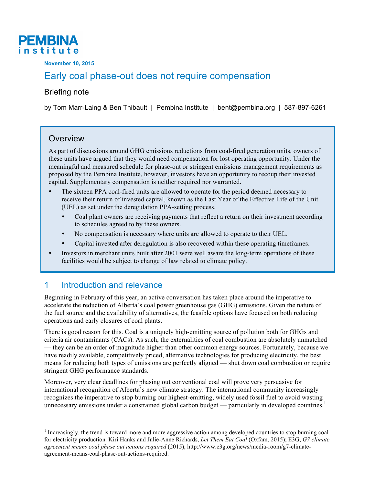

**November 10, 2015**

# Early coal phase-out does not require compensation

#### Briefing note

by Tom Marr-Laing & Ben Thibault | Pembina Institute | bent@pembina.org | 587-897-6261

#### **Overview**

As part of discussions around GHG emissions reductions from coal-fired generation units, owners of these units have argued that they would need compensation for lost operating opportunity. Under the meaningful and measured schedule for phase-out or stringent emissions management requirements as proposed by the Pembina Institute, however, investors have an opportunity to recoup their invested capital. Supplementary compensation is neither required nor warranted.

- The sixteen PPA coal-fired units are allowed to operate for the period deemed necessary to receive their return of invested capital, known as the Last Year of the Effective Life of the Unit (UEL) as set under the deregulation PPA-setting process.
	- Coal plant owners are receiving payments that reflect a return on their investment according to schedules agreed to by these owners.
	- No compensation is necessary where units are allowed to operate to their UEL.
	- Capital invested after deregulation is also recovered within these operating timeframes.
- Investors in merchant units built after 2001 were well aware the long-term operations of these facilities would be subject to change of law related to climate policy.

## 1 Introduction and relevance

Beginning in February of this year, an active conversation has taken place around the imperative to accelerate the reduction of Alberta's coal power greenhouse gas (GHG) emissions. Given the nature of the fuel source and the availability of alternatives, the feasible options have focused on both reducing operations and early closures of coal plants.

There is good reason for this. Coal is a uniquely high-emitting source of pollution both for GHGs and criteria air contaminants (CACs). As such, the externalities of coal combustion are absolutely unmatched — they can be an order of magnitude higher than other common energy sources. Fortunately, because we have readily available, competitively priced, alternative technologies for producing electricity, the best means for reducing both types of emissions are perfectly aligned — shut down coal combustion or require stringent GHG performance standards.

Moreover, very clear deadlines for phasing out conventional coal will prove very persuasive for international recognition of Alberta's new climate strategy. The international community increasingly recognizes the imperative to stop burning our highest-emitting, widely used fossil fuel to avoid wasting unnecessary emissions under a constrained global carbon budget — particularly in developed countries.<sup>1</sup>

<sup>&</sup>lt;sup>1</sup> Increasingly, the trend is toward more and more aggressive action among developed countries to stop burning coal for electricity production. Kiri Hanks and Julie-Anne Richards, *Let Them Eat Coal* (Oxfam, 2015); E3G, *G7 climate agreement means coal phase out actions required* (2015), http://www.e3g.org/news/media-room/g7-climateagreement-means-coal-phase-out-actions-required.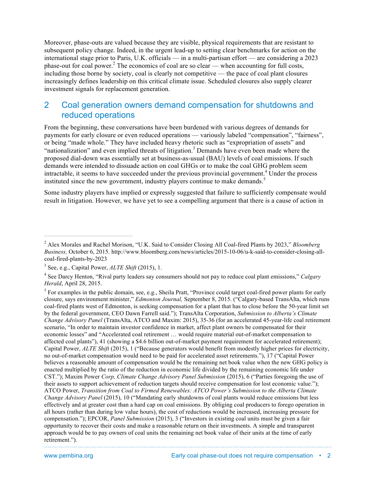Moreover, phase-outs are valued because they are visible, physical requirements that are resistant to subsequent policy change. Indeed, in the urgent lead-up to setting clear benchmarks for action on the international stage prior to Paris, U.K. officials — in a multi-partisan effort — are considering a 2023 phase-out for coal power.<sup>2</sup> The economics of coal are so clear — when accounting for full costs, including those borne by society, coal is clearly not competitive — the pace of coal plant closures increasingly defines leadership on this critical climate issue. Scheduled closures also supply clearer investment signals for replacement generation.

### 2 Coal generation owners demand compensation for shutdowns and reduced operations

From the beginning, these conversations have been burdened with various degrees of demands for payments for early closure or even reduced operations — variously labeled "compensation", "fairness", or being "made whole." They have included heavy rhetoric such as "expropriation of assets" and "nationalization" and even implied threats of litigation. <sup>3</sup> Demands have even been made where the proposed dial-down was essentially set at business-as-usual (BAU) levels of coal emissions. If such demands were intended to dissuade action on coal GHGs or to make the coal GHG problem seem intractable, it seems to have succeeded under the previous provincial government.<sup>4</sup> Under the process instituted since the new government, industry players continue to make demands.<sup>5</sup>

Some industry players have implied or expressly suggested that failure to sufficiently compensate would result in litigation. However, we have yet to see a compelling argument that there is a cause of action in

 <sup>2</sup> Alex Morales and Rachel Morison, "U.K. Said to Consider Closing All Coal-fired Plants by 2023," *Bloomberg Business,* October 6, 2015. http://www.bloomberg.com/news/articles/2015-10-06/u-k-said-to-consider-closing-allcoal-fired-plants-by-2023

<sup>3</sup> See, e.g., Capital Power, *ALTE Shift* (2015), 1.

<sup>4</sup> See Darcy Henton, "Rival party leaders say consumers should not pay to reduce coal plant emissions," *Calgary Herald*, April 28, 2015.

<sup>&</sup>lt;sup>5</sup> For examples in the public domain, see, e.g., Sheila Pratt, "Province could target coal-fired power plants for early closure, says environment minister," *Edmonton Journal,* September 8, 2015. ("Calgary-based TransAlta, which runs coal-fired plants west of Edmonton, is seeking compensation for a plant that has to close before the 50-year limit set by the federal government, CEO Dawn Farrell said."); TransAlta Corporation, *Submission to Alberta's Climate Change Advisory Panel* (TransAlta, ATCO and Maxim: 2015), 35-36 (for an accelerated 45-year-life coal retirement scenario, "In order to maintain investor confidence in market, affect plant owners be compensated for their economic losses" and "Accelerated coal retirement … would require material out-of-market compensation to affected coal plants"), 41 (showing a \$4.6 billion out-of-market payment requirement for accelerated retirement); Capital Power, *ALTE Shift* (2015), 1 ("Because generators would benefit from modestly higher prices for electricity, no out-of-market compensation would need to be paid for accelerated asset retirements."), 17 ("Capital Power believes a reasonable amount of compensation would be the remaining net book value when the new GHG policy is enacted multiplied by the ratio of the reduction in economic life divided by the remaining economic life under CST."); Maxim Power *Corp, Climate Change Advisory Panel Submission* (2015), 6 ("Parties foregoing the use of their assets to support achievement of reduction targets should receive compensation for lost economic value."); ATCO Power, *Transition from Coal to Firmed Renewables: ATCO Power's Submission to the Alberta Climate Change Advisory Panel* (2015), 10 ("Mandating early shutdowns of coal plants would reduce emissions but less effectively and at greater cost than a hard cap on coal emissions. By obliging coal producers to forego operation in all hours (rather than during low value hours), the cost of reductions would be increased, increasing pressure for compensation."); EPCOR, *Panel Submission* (2015), 3 ("Investors in existing coal units must be given a fair opportunity to recover their costs and make a reasonable return on their investments. A simple and transparent approach would be to pay owners of coal units the remaining net book value of their units at the time of early retirement.").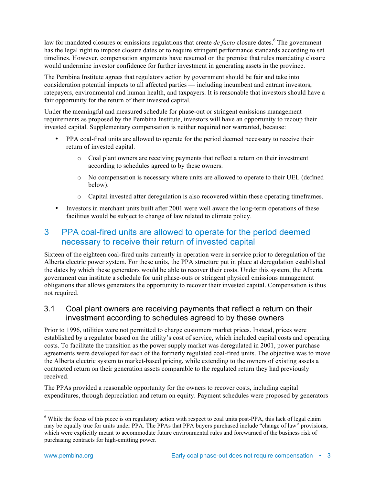law for mandated closures or emissions regulations that create *de facto* closure dates.<sup>6</sup> The government has the legal right to impose closure dates or to require stringent performance standards according to set timelines. However, compensation arguments have resumed on the premise that rules mandating closure would undermine investor confidence for further investment in generating assets in the province.

The Pembina Institute agrees that regulatory action by government should be fair and take into consideration potential impacts to all affected parties — including incumbent and entrant investors, ratepayers, environmental and human health, and taxpayers. It is reasonable that investors should have a fair opportunity for the return of their invested capital.

Under the meaningful and measured schedule for phase-out or stringent emissions management requirements as proposed by the Pembina Institute, investors will have an opportunity to recoup their invested capital. Supplementary compensation is neither required nor warranted, because:

- PPA coal-fired units are allowed to operate for the period deemed necessary to receive their return of invested capital.
	- o Coal plant owners are receiving payments that reflect a return on their investment according to schedules agreed to by these owners.
	- o No compensation is necessary where units are allowed to operate to their UEL (defined below).
	- o Capital invested after deregulation is also recovered within these operating timeframes.
- Investors in merchant units built after 2001 were well aware the long-term operations of these facilities would be subject to change of law related to climate policy.

## 3 PPA coal-fired units are allowed to operate for the period deemed necessary to receive their return of invested capital

Sixteen of the eighteen coal-fired units currently in operation were in service prior to deregulation of the Alberta electric power system. For these units, the PPA structure put in place at deregulation established the dates by which these generators would be able to recover their costs. Under this system, the Alberta government can institute a schedule for unit phase-outs or stringent physical emissions management obligations that allows generators the opportunity to recover their invested capital. Compensation is thus not required.

#### 3.1 Coal plant owners are receiving payments that reflect a return on their investment according to schedules agreed to by these owners

Prior to 1996, utilities were not permitted to charge customers market prices. Instead, prices were established by a regulator based on the utility's cost of service, which included capital costs and operating costs. To facilitate the transition as the power supply market was deregulated in 2001, power purchase agreements were developed for each of the formerly regulated coal-fired units. The objective was to move the Alberta electric system to market-based pricing, while extending to the owners of existing assets a contracted return on their generation assets comparable to the regulated return they had previously received.

The PPAs provided a reasonable opportunity for the owners to recover costs, including capital expenditures, through depreciation and return on equity. Payment schedules were proposed by generators

 $6$  While the focus of this piece is on regulatory action with respect to coal units post-PPA, this lack of legal claim may be equally true for units under PPA. The PPAs that PPA buyers purchased include "change of law" provisions, which were explicitly meant to accommodate future environmental rules and forewarned of the business risk of purchasing contracts for high-emitting power.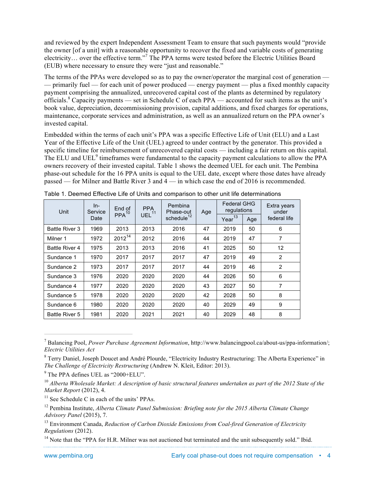and reviewed by the expert Independent Assessment Team to ensure that such payments would "provide the owner [of a unit] with a reasonable opportunity to recover the fixed and variable costs of generating electricity… over the effective term."<sup>7</sup> The PPA terms were tested before the Electric Utilities Board (EUB) where necessary to ensure they were "just and reasonable."

The terms of the PPAs were developed so as to pay the owner/operator the marginal cost of generation — — primarily fuel — for each unit of power produced — energy payment — plus a fixed monthly capacity payment comprising the annualized, unrecovered capital cost of the plants as determined by regulatory officials.<sup>8</sup> Capacity payments — set in Schedule C of each PPA — accounted for such items as the unit's book value, depreciation, decommissioning provision, capital additions, and fixed charges for operations, maintenance, corporate services and administration, as well as an annualized return on the PPA owner's invested capital.

Embedded within the terms of each unit's PPA was a specific Effective Life of Unit (ELU) and a Last Year of the Effective Life of the Unit (UEL) agreed to under contract by the generator. This provided a specific timeline for reimbursement of unrecovered capital costs — including a fair return on this capital. The ELU and UEL<sup>9</sup> timeframes were fundamental to the capacity payment calculations to allow the PPA owners recovery of their invested capital. Table 1 shows the deemed UEL for each unit. The Pembina phase-out schedule for the 16 PPA units is equal to the UEL date, except where those dates have already passed — for Milner and Battle River 3 and 4 — in which case the end of 2016 is recommended.

| Unit                  | $ln-$<br>Service | End of<br>$PPA^{10}$ | <b>PPA</b><br>UEL <sup>11</sup> | Pembina<br>Phase-out   | Age                       | <b>Federal GHG</b><br>regulations |              | Extra years<br>under |  |
|-----------------------|------------------|----------------------|---------------------------------|------------------------|---------------------------|-----------------------------------|--------------|----------------------|--|
|                       | Date             |                      |                                 | schedule <sup>12</sup> | Year <sup>13</sup><br>Age |                                   | federal life |                      |  |
| <b>Battle River 3</b> | 1969             | 2013                 | 2013                            | 2016                   | 47                        | 2019                              | 50           | 6                    |  |
| Milner 1              | 1972             | $2012^{14}$          | 2012                            | 2016<br>44             |                           | 2019                              | 47           | $\overline{7}$       |  |
| <b>Battle River 4</b> | 1975             | 2013                 | 2013                            | 2016                   | 41                        | 2025                              | 50           | 12                   |  |
| Sundance 1            | 1970             | 2017                 | 2017                            | 2017                   | 47                        | 2019                              | 49           | $\overline{2}$       |  |
| Sundance 2            | 1973             |                      | 2017                            | 2017                   | 44                        | 2019                              | 46           | $\overline{2}$       |  |
| Sundance 3            | 1976             | 2020                 | 2020                            | 2020                   | 44                        | 2026                              | 50           | 6                    |  |
| Sundance 4            | 1977             | 2020                 | 2020                            | 2020                   | 43                        | 2027                              | 50           | $\overline{7}$       |  |
| Sundance 5            | 1978             | 2020                 | 2020                            | 2020                   | 42                        | 2028                              | 50           | 8                    |  |
| Sundance 6            | 1980             | 2020                 | 2020                            | 2020                   | 40                        | 2029                              | 49           | 9                    |  |
| <b>Battle River 5</b> | 1981             | 2020                 | 2021                            | 2021                   | 40                        | 2029                              | 48           | 8                    |  |

Table 1. Deemed Effective Life of Units and comparison to other unit life determinations

 <sup>7</sup> Balancing Pool, *Power Purchase Agreement Information*, http://www.balancingpool.ca/about-us/ppa-information/; *Electric Utilities Act*

<sup>&</sup>lt;sup>8</sup> Terry Daniel, Joseph Doucet and André Plourde, "Electricity Industry Restructuring: The Alberta Experience" in *The Challenge of Electricity Restructuring* (Andrew N. Kleit, Editor: 2013).

<sup>9</sup> The PPA defines UEL as "2000+ELU".

<sup>&</sup>lt;sup>10</sup> Alberta Wholesale Market: A description of basic structural features undertaken as part of the 2012 State of the *Market Report* (2012), 4.

<sup>&</sup>lt;sup>11</sup> See Schedule C in each of the units' PPAs.

<sup>12</sup> Pembina Institute, *Alberta Climate Panel Submission: Briefing note for the 2015 Alberta Climate Change Advisory Panel* (2015), 7.

<sup>13</sup> Environment Canada, *Reduction of Carbon Dioxide Emissions from Coal-fired Generation of Electricity Regulations* (2012).

<sup>&</sup>lt;sup>14</sup> Note that the "PPA for H.R. Milner was not auctioned but terminated and the unit subsequently sold." Ibid.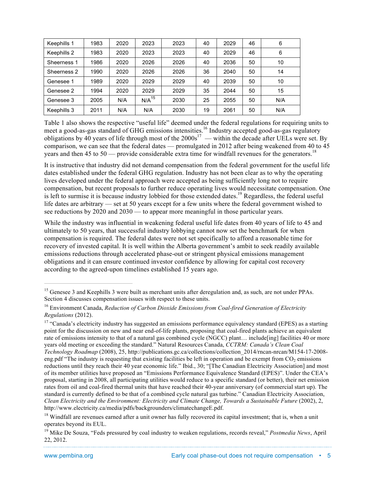| Keephills 1 | 1983 | 2020 | 2023       | 2023 | 40 | 2029 | 46 | 6   |
|-------------|------|------|------------|------|----|------|----|-----|
| Keephills 2 | 1983 | 2020 | 2023       | 2023 | 40 | 2029 | 46 | 6   |
| Sheerness 1 | 1986 | 2020 | 2026       | 2026 | 40 | 2036 | 50 | 10  |
| Sheerness 2 | 1990 | 2020 | 2026       | 2026 | 36 | 2040 | 50 | 14  |
| Genesee 1   | 1989 | 2020 | 2029       | 2029 | 40 | 2039 | 50 | 10  |
| Genesee 2   | 1994 | 2020 | 2029       | 2029 | 35 | 2044 | 50 | 15  |
| Genesee 3   | 2005 | N/A  | $N/A^{15}$ | 2030 | 25 | 2055 | 50 | N/A |
| Keephills 3 | 2011 | N/A  | N/A        | 2030 | 19 | 2061 | 50 | N/A |

Table 1 also shows the respective "useful life" deemed under the federal regulations for requiring units to meet a good-as-gas standard of GHG emissions intensities.<sup>16</sup> Industry accepted good-as-gas regulatory obligations by 40 years of life through most of the  $2000s^{17}$  — within the decade after UELs were set. By comparison, we can see that the federal dates — promulgated in 2012 after being weakened from 40 to 45 years and then 45 to 50 — provide considerable extra time for windfall revenues for the generators.<sup>18</sup>

It is instructive that industry did not demand compensation from the federal government for the useful life dates established under the federal GHG regulation. Industry has not been clear as to why the operating lives developed under the federal approach were accepted as being sufficiently long not to require compensation, but recent proposals to further reduce operating lives would necessitate compensation. One is left to surmise it is because industry lobbied for those extended dates.<sup>19</sup> Regardless, the federal useful life dates are arbitrary — set at 50 years except for a few units where the federal government wished to see reductions by 2020 and 2030 — to appear more meaningful in those particular years.

While the industry was influential in weakening federal useful life dates from 40 years of life to 45 and ultimately to 50 years, that successful industry lobbying cannot now set the benchmark for when compensation is required. The federal dates were not set specifically to afford a reasonable time for recovery of invested capital. It is well within the Alberta government's ambit to seek readily available emissions reductions through accelerated phase-out or stringent physical emissions management obligations and it can ensure continued investor confidence by allowing for capital cost recovery according to the agreed-upon timelines established 15 years ago.

<sup>&</sup>lt;sup>15</sup> Genesee 3 and Keephills 3 were built as merchant units after deregulation and, as such, are not under PPAs. Section 4 discusses compensation issues with respect to these units.

<sup>16</sup> Environment Canada, *Reduction of Carbon Dioxide Emissions from Coal-fired Generation of Electricity Regulations* (2012).

<sup>&</sup>lt;sup>17</sup> "Canada's electricity industry has suggested an emissions performance equivalency standard (EPES) as a starting point for the discussion on new and near end-of-life plants, proposing that coal-fired plants achieve an equivalent rate of emissions intensity to that of a natural gas combined cycle (NGCC) plant… include[ing] facilities 40 or more years old meeting or exceeding the standard." Natural Resources Canada, *CCTRM: Canada's Clean Coal Technology Roadmap* (2008), 25, http://publications.gc.ca/collections/collection\_2014/rncan-nrcan/M154-17-2008 eng.pdf "The industry is requesting that existing facilities be left in operation and be exempt from  $CO_2$  emissions reductions until they reach their 40 year economic life." Ibid., 30; "[The Canadian Electricity Association] and most of its member utilities have proposed an "Emissions Performance Equivalence Standard (EPES)". Under the CEA's proposal, starting in 2008, all participating utilities would reduce to a specific standard (or better), their net emission rates from oil and coal-fired thermal units that have reached their 40-year anniversary (of commercial start up). The standard is currently defined to be that of a combined cycle natural gas turbine." Canadian Electricity Association, *Clean Electricity and the Environment: Electricity and Climate Change, Towards a Sustainable Future* (2002), 2, http://www.electricity.ca/media/pdfs/backgrounders/climatechangeE.pdf.

<sup>&</sup>lt;sup>18</sup> Windfall are revenues earned after a unit owner has fully recovered its capital investment; that is, when a unit operates beyond its EUL.

<sup>&</sup>lt;sup>19</sup> Mike De Souza, "Feds pressured by coal industry to weaken regulations, records reveal," *Postmedia News*, April 22, 2012.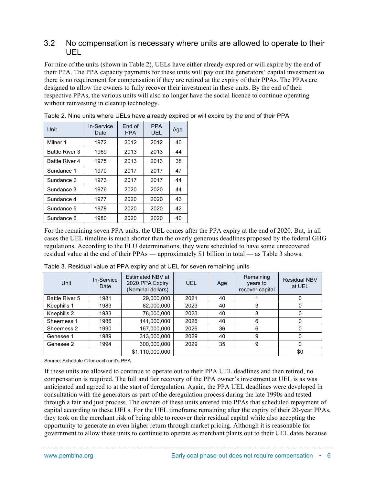#### 3.2 No compensation is necessary where units are allowed to operate to their UEL

For nine of the units (shown in Table 2), UELs have either already expired or will expire by the end of their PPA. The PPA capacity payments for these units will pay out the generators' capital investment so there is no requirement for compensation if they are retired at the expiry of their PPAs. The PPAs are designed to allow the owners to fully recover their investment in these units. By the end of their respective PPAs, the various units will also no longer have the social licence to continue operating without reinvesting in cleanup technology.

| Unit                  | In-Service<br>Date | End of<br><b>PPA</b> | <b>PPA</b><br>UEL. | Age |
|-----------------------|--------------------|----------------------|--------------------|-----|
| Milner 1              | 1972               | 2012                 | 2012               | 40  |
| <b>Battle River 3</b> | 1969               | 2013                 | 2013               | 44  |
| <b>Battle River 4</b> | 1975               | 2013                 | 2013               | 38  |
| Sundance 1            | 1970               | 2017                 | 2017               | 47  |
| Sundance 2            | 1973               | 2017                 | 2017               | 44  |
| Sundance 3            | 1976               | 2020                 | 2020               | 44  |
| Sundance 4            | 1977               | 2020                 | 2020               | 43  |
| Sundance 5            | 1978               | 2020                 | 2020               | 42  |
| Sundance 6            | 1980               | 2020                 | 2020               | 40  |

Table 2. Nine units where UELs have already expired or will expire by the end of their PPA

For the remaining seven PPA units, the UEL comes after the PPA expiry at the end of 2020. But, in all cases the UEL timeline is much shorter than the overly generous deadlines proposed by the federal GHG regulations. According to the ELU determinations, they were scheduled to have some unrecovered residual value at the end of their PPAs — approximately \$1 billion in total — as Table 3 shows.

| Unit                  | In-Service<br>Date | Estimated NBV at<br>2020 PPA Expiry<br>(Nominal dollars) | <b>UEL</b> | Age | Remaining<br>years to<br>recover capital | <b>Residual NBV</b><br>at UEL |
|-----------------------|--------------------|----------------------------------------------------------|------------|-----|------------------------------------------|-------------------------------|
| <b>Battle River 5</b> | 1981               | 29,000,000                                               | 2021       | 40  |                                          | 0                             |
| Keephills 1           | 1983               | 82,000,000                                               | 2023       | 40  | 3                                        | 0                             |
| Keephills 2           | 1983               | 78,000,000                                               | 2023       | 40  | 3                                        |                               |
| Sheerness 1           | 1986               | 141,000,000                                              | 2026       | 40  | 6                                        | 0                             |
| Sheerness 2           | 1990               | 167,000,000                                              | 2026       | 36  | 6                                        | 0                             |
| Genesee 1             | 1989               | 313,000,000                                              | 2029       | 40  | 9                                        | 0                             |
| Genesee 2             | 1994               | 300,000,000                                              | 2029       | 35  | 9                                        | 0                             |
|                       |                    | \$1,110,000,000                                          |            |     |                                          | \$0                           |

Table 3. Residual value at PPA expiry and at UEL for seven remaining units

Source: Schedule C for each unit's PPA

If these units are allowed to continue to operate out to their PPA UEL deadlines and then retired, no compensation is required. The full and fair recovery of the PPA owner's investment at UEL is as was anticipated and agreed to at the start of deregulation. Again, the PPA UEL deadlines were developed in consultation with the generators as part of the deregulation process during the late 1990s and tested through a fair and just process. The owners of these units entered into PPAs that scheduled repayment of capital according to these UELs. For the UEL timeframe remaining after the expiry of their 20-year PPAs, they took on the merchant risk of being able to recover their residual capital while also accepting the opportunity to generate an even higher return through market pricing. Although it is reasonable for government to allow these units to continue to operate as merchant plants out to their UEL dates because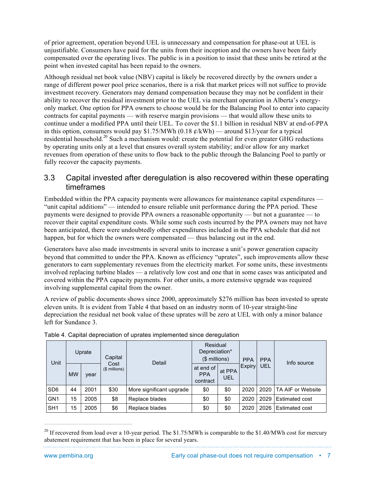of prior agreement, operation beyond UEL is unnecessary and compensation for phase-out at UEL is unjustifiable. Consumers have paid for the units from their inception and the owners have been fairly compensated over the operating lives. The public is in a position to insist that these units be retired at the point when invested capital has been repaid to the owners.

Although residual net book value (NBV) capital is likely be recovered directly by the owners under a range of different power pool price scenarios, there is a risk that market prices will not suffice to provide investment recovery. Generators may demand compensation because they may not be confident in their ability to recover the residual investment prior to the UEL via merchant operation in Alberta's energyonly market. One option for PPA owners to choose would be for the Balancing Pool to enter into capacity contracts for capital payments — with reserve margin provisions — that would allow these units to continue under a modified PPA until their UEL. To cover the \$1.1 billion in residual NBV at end-of-PPA in this option, consumers would pay \$1.75/MWh (0.18  $\ell$ /kWh) — around \$13/year for a typical residential household.20 Such a mechanism would: create the potential for even greater GHG reductions by operating units only at a level that ensures overall system stability; and/or allow for any market revenues from operation of these units to flow back to the public through the Balancing Pool to partly or fully recover the capacity payments.

#### 3.3 Capital invested after deregulation is also recovered within these operating timeframes

Embedded within the PPA capacity payments were allowances for maintenance capital expenditures — "unit capital additions" — intended to ensure reliable unit performance during the PPA period. These payments were designed to provide PPA owners a reasonable opportunity — but not a guarantee — to recover their capital expenditure costs. While some such costs incurred by the PPA owners may not have been anticipated, there were undoubtedly other expenditures included in the PPA schedule that did not happen, but for which the owners were compensated — thus balancing out in the end.

Generators have also made investments in several units to increase a unit's power generation capacity beyond that committed to under the PPA. Known as efficiency "uprates", such improvements allow these generators to earn supplementary revenues from the electricity market. For some units, these investments involved replacing turbine blades — a relatively low cost and one that in some cases was anticipated and covered within the PPA capacity payments. For other units, a more extensive upgrade was required involving supplemental capital from the owner.

A review of public documents shows since 2000, approximately \$276 million has been invested to uprate eleven units. It is evident from Table 4 that based on an industry norm of 10-year straight-line depreciation the residual net book value of these uprates will be zero at UEL with only a minor balance left for Sundance 3.

| Unit            | Uprate    |      | Capital               | Detail                   | Residual<br>Depreciation*<br>(\$ millions) |               | <b>PPA</b> | <b>PPA</b> | Info source              |  |
|-----------------|-----------|------|-----------------------|--------------------------|--------------------------------------------|---------------|------------|------------|--------------------------|--|
|                 | <b>MW</b> | year | Cost<br>(\$ millions) |                          | at end of<br><b>PPA</b><br>contract        | at PPA<br>UEL | Expiry     | UEL        |                          |  |
| SD <sub>6</sub> | 44        | 2001 | \$30                  | More significant upgrade | \$0                                        | \$0           | 2020       | 2020       | <b>TA AIF or Website</b> |  |
| GN <sub>1</sub> | 15        | 2005 | \$8                   | Replace blades           | \$0                                        | \$0           | 2020       | 2029       | <b>Estimated cost</b>    |  |
| SH <sub>1</sub> | 15        | 2005 | \$6                   | Replace blades           | \$0                                        | \$0           | 2020       | 2026       | Estimated cost           |  |

Table 4. Capital depreciation of uprates implemented since deregulation

<sup>&</sup>lt;sup>20</sup> If recovered from load over a 10-year period. The \$1.75/MWh is comparable to the \$1.40/MWh cost for mercury abatement requirement that has been in place for several years.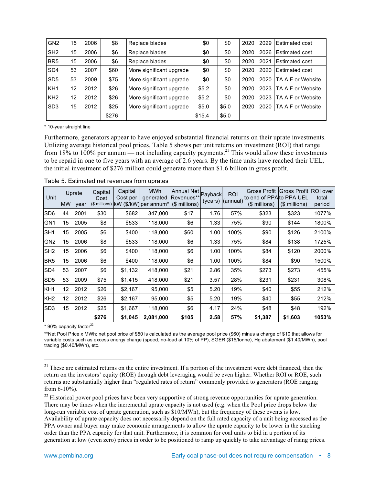| GN <sub>2</sub> | 15 | 2006 | \$8   | Replace blades           | \$0    | \$0   | 2020 | 2029 | <b>Estimated cost</b> |
|-----------------|----|------|-------|--------------------------|--------|-------|------|------|-----------------------|
| SH <sub>2</sub> | 15 | 2006 | \$6   | Replace blades           | \$0    | \$0   | 2020 | 2026 | <b>Estimated cost</b> |
| BR <sub>5</sub> | 15 | 2006 | \$6   | Replace blades           | \$0    | \$0   | 2020 | 2021 | Estimated cost        |
| SD <sub>4</sub> | 53 | 2007 | \$60  | More significant upgrade | \$0    | \$0   | 2020 | 2020 | <b>Estimated cost</b> |
| SD <sub>5</sub> | 53 | 2009 | \$75  | More significant upgrade | \$0    | \$0   | 2020 | 2020 | TA AIF or Website     |
| KH <sub>1</sub> | 12 | 2012 | \$26  | More significant upgrade | \$5.2  | \$0   | 2020 | 2023 | TA AIF or Website     |
| KH <sub>2</sub> | 12 | 2012 | \$26  | More significant upgrade | \$5.2  | \$0   | 2020 | 2023 | TA AIF or Website     |
| SD <sub>3</sub> | 15 | 2012 | \$25  | More significant upgrade | \$5.0  | \$5.0 | 2020 | 2020 | TA AIF or Website     |
|                 |    |      | \$276 |                          | \$15.4 | \$5.0 |      |      |                       |

\* 10-year straight line

Furthermore, generators appear to have enjoyed substantial financial returns on their uprate investments. Utilizing average historical pool prices, Table 5 shows per unit returns on investment (ROI) that range from 18% to 100% per annum — not including capacity payments.<sup>21</sup> This would allow these investments to be repaid in one to five years with an average of 2.6 years. By the time units have reached their UEL, the initial investment of \$276 million could generate more than \$1.6 billion in gross profit.

| Unit            | Uprate    | Capital<br>Cost | Capital<br>Cost per | <b>MWh</b><br>generated | Annual Net<br>Revenues** Payback                  |       | <b>ROI</b> | Gross Profit<br>lto end of PPAlto PPA UEL | <b>Gross Profit</b> | ROI over<br>total |        |
|-----------------|-----------|-----------------|---------------------|-------------------------|---------------------------------------------------|-------|------------|-------------------------------------------|---------------------|-------------------|--------|
|                 | <b>MW</b> | vear            |                     |                         | (\$ millions) kW (\$/kW) per annum* (\$ millions) |       |            | (years) (annual)                          | (\$ millions)       | $($$ millions)    | period |
| SD <sub>6</sub> | 44        | 2001            | \$30                | \$682                   | 347,000                                           | \$17  | 1.76       | 57%                                       | \$323               | \$323             | 1077%  |
| GN <sub>1</sub> | 15        | 2005            | \$8                 | \$533                   | 118,000                                           | \$6   | 1.33       | 75%                                       | \$90                | \$144             | 1800%  |
| SH <sub>1</sub> | 15        | 2005            | \$6                 | \$400                   | 118,000                                           | \$60  | 1.00       | 100%                                      | \$90                | \$126             | 2100%  |
| GN <sub>2</sub> | 15        | 2006            | \$8                 | \$533                   | 118,000                                           | \$6   | 1.33       | 75%                                       | \$84                | \$138             | 1725%  |
| SH <sub>2</sub> | 15        | 2006            | \$6                 | \$400                   | 118,000                                           | \$6   | 1.00       | 100%                                      | \$84                | \$120             | 2000%  |
| BR <sub>5</sub> | 15        | 2006            | \$6                 | \$400                   | 118,000                                           | \$6   | 1.00       | 100%                                      | \$84                | \$90              | 1500%  |
| SD <sub>4</sub> | 53        | 2007            | \$6                 | \$1,132                 | 418,000                                           | \$21  | 2.86       | 35%                                       | \$273               | \$273             | 455%   |
| SD <sub>5</sub> | 53        | 2009            | \$75                | \$1,415                 | 418,000                                           | \$21  | 3.57       | 28%                                       | \$231               | \$231             | 308%   |
| KH <sub>1</sub> | 12        | 2012            | \$26                | \$2,167                 | 95,000                                            | \$5   | 5.20       | 19%                                       | \$40                | \$55              | 212%   |
| KH <sub>2</sub> | 12        | 2012            | \$26                | \$2,167                 | 95,000                                            | \$5   | 5.20       | 19%                                       | \$40                | \$55              | 212%   |
| SD <sub>3</sub> | 15        | 2012            | \$25                | \$1,667                 | 118,000                                           | \$6   | 4.17       | 24%                                       | \$48                | \$48              | 192%   |
|                 |           |                 | \$276               | \$1,045                 | 2,081,000                                         | \$105 | 2.58       | 57%                                       | \$1,387             | \$1,603           | 1053%  |

Table 5. Estimated net revenues from uprates

 $*$  90% capacity factor<sup>22</sup>

\*\*Net Pool Price x MWh; net pool price of \$50 is calculated as the average pool price (\$60) minus a charge of \$10 that allows for variable costs such as excess energy charge (speed, no-load at 10% of PP), SGER (\$15/tonne), Hg abatement (\$1.40/MWh), pool trading (\$0.40/MWh), etc.

 $21$  These are estimated returns on the entire investment. If a portion of the investment were debt financed, then the return on the investors' equity (ROE) through debt leveraging would be even higher. Whether ROI or ROE, such returns are substantially higher than "regulated rates of return" commonly provided to generators (ROE ranging from 6-10%).

 $^{22}$  Historical power pool prices have been very supportive of strong revenue opportunities for uprate generation. There may be times when the incremental uprate capacity is not used (e.g. when the Pool price drops below the long-run variable cost of uprate generation, such as \$10/MWh), but the frequency of these events is low. Availability of uprate capacity does not necessarily depend on the full rated capacity of a unit being accessed as the PPA owner and buyer may make economic arrangements to allow the uprate capacity to be lower in the stacking order than the PPA capacity for that unit. Furthermore, it is common for coal units to bid in a portion of its generation at low (even zero) prices in order to be positioned to ramp up quickly to take advantage of rising prices.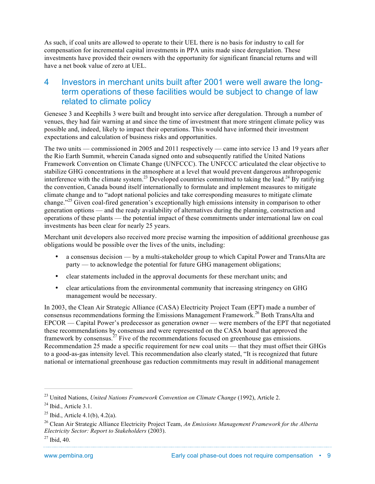As such, if coal units are allowed to operate to their UEL there is no basis for industry to call for compensation for incremental capital investments in PPA units made since deregulation. These investments have provided their owners with the opportunity for significant financial returns and will have a net book value of zero at UEL.

## 4 Investors in merchant units built after 2001 were well aware the longterm operations of these facilities would be subject to change of law related to climate policy

Genesee 3 and Keephills 3 were built and brought into service after deregulation. Through a number of venues, they had fair warning at and since the time of investment that more stringent climate policy was possible and, indeed, likely to impact their operations. This would have informed their investment expectations and calculation of business risks and opportunities.

The two units — commissioned in 2005 and 2011 respectively — came into service 13 and 19 years after the Rio Earth Summit, wherein Canada signed onto and subsequently ratified the United Nations Framework Convention on Climate Change (UNFCCC). The UNFCCC articulated the clear objective to stabilize GHG concentrations in the atmosphere at a level that would prevent dangerous anthropogenic interference with the climate system.<sup>23</sup> Developed countries committed to taking the lead.<sup>24</sup> By ratifying the convention, Canada bound itself internationally to formulate and implement measures to mitigate climate change and to "adopt national policies and take corresponding measures to mitigate climate change.<sup>325</sup> Given coal-fired generation's exceptionally high emissions intensity in comparison to other generation options — and the ready availability of alternatives during the planning, construction and operations of these plants — the potential impact of these commitments under international law on coal investments has been clear for nearly 25 years.

Merchant unit developers also received more precise warning the imposition of additional greenhouse gas obligations would be possible over the lives of the units, including:

- a consensus decision by a multi-stakeholder group to which Capital Power and TransAlta are party — to acknowledge the potential for future GHG management obligations;
- clear statements included in the approval documents for these merchant units; and
- clear articulations from the environmental community that increasing stringency on GHG management would be necessary.

In 2003, the Clean Air Strategic Alliance (CASA) Electricity Project Team (EPT) made a number of consensus recommendations forming the Emissions Management Framework.<sup>26</sup> Both TransAlta and EPCOR — Capital Power's predecessor as generation owner — were members of the EPT that negotiated these recommendations by consensus and were represented on the CASA board that approved the framework by consensus.<sup>27</sup> Five of the recommendations focused on greenhouse gas emissions. Recommendation 25 made a specific requirement for new coal units — that they must offset their GHGs to a good-as-gas intensity level. This recommendation also clearly stated, "It is recognized that future national or international greenhouse gas reduction commitments may result in additional management

 <sup>23</sup> United Nations, *United Nations Framework Convention on Climate Change* (1992), Article 2.

 $24$  Ibid., Article 3.1.

<sup>&</sup>lt;sup>25</sup> Ibid., Article 4.1(b), 4.2(a).

<sup>26</sup> Clean Air Strategic Alliance Electricity Project Team, *An Emissions Management Framework for the Alberta Electricity Sector: Report to Stakeholders* (2003).

 $27$  Ibid, 40.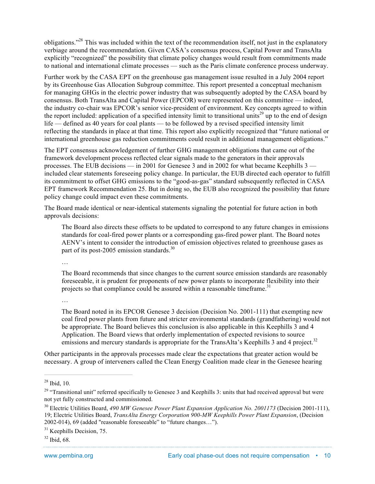obligations."<sup>28</sup> This was included within the text of the recommendation itself, not just in the explanatory verbiage around the recommendation. Given CASA's consensus process, Capital Power and TransAlta explicitly "recognized" the possibility that climate policy changes would result from commitments made to national and international climate processes — such as the Paris climate conference process underway.

Further work by the CASA EPT on the greenhouse gas management issue resulted in a July 2004 report by its Greenhouse Gas Allocation Subgroup committee. This report presented a conceptual mechanism for managing GHGs in the electric power industry that was subsequently adopted by the CASA board by consensus. Both TransAlta and Capital Power (EPCOR) were represented on this committee — indeed, the industry co-chair was EPCOR's senior vice-president of environment. Key concepts agreed to within the report included: application of a specified intensity limit to transitional units<sup>29</sup> up to the end of design life — defined as 40 years for coal plants — to be followed by a revised specified intensity limit reflecting the standards in place at that time. This report also explicitly recognized that "future national or international greenhouse gas reduction commitments could result in additional management obligations."

The EPT consensus acknowledgement of further GHG management obligations that came out of the framework development process reflected clear signals made to the generators in their approvals processes. The EUB decisions — in 2001 for Genesee 3 and in 2002 for what became Keephills 3 included clear statements foreseeing policy change. In particular, the EUB directed each operator to fulfill its commitment to offset GHG emissions to the "good-as-gas" standard subsequently reflected in CASA EPT framework Recommendation 25. But in doing so, the EUB also recognized the possibility that future policy change could impact even these commitments.

The Board made identical or near-identical statements signaling the potential for future action in both approvals decisions:

The Board also directs these offsets to be updated to correspond to any future changes in emissions standards for coal-fired power plants or a corresponding gas-fired power plant. The Board notes AENV's intent to consider the introduction of emission objectives related to greenhouse gases as part of its post-2005 emission standards. $30$ 

…

The Board recommends that since changes to the current source emission standards are reasonably foreseeable, it is prudent for proponents of new power plants to incorporate flexibility into their projects so that compliance could be assured within a reasonable timeframe.<sup>31</sup>

…

The Board noted in its EPCOR Genesee 3 decision (Decision No. 2001-111) that exempting new coal fired power plants from future and stricter environmental standards (grandfathering) would not be appropriate. The Board believes this conclusion is also applicable in this Keephills 3 and 4 Application. The Board views that orderly implementation of expected revisions to source emissions and mercury standards is appropriate for the TransAlta's Keephills 3 and 4 project.<sup>32</sup>

Other participants in the approvals processes made clear the expectations that greater action would be necessary. A group of interveners called the Clean Energy Coalition made clear in the Genesee hearing

 $28$  Ibid, 10.

 $29$  "Transitional unit" referred specifically to Genesee 3 and Keephills 3: units that had received approval but were not yet fully constructed and commissioned.

<sup>&</sup>lt;sup>30</sup> Electric Utilities Board, 490 MW Genesee Power Plant Expansion Application No. 2001173 (Decision 2001-111), 19; Electric Utilities Board, *TransAlta Energy Corporation 900-MW Keephills Power Plant Expansion*, (Decision 2002-014), 69 (added "reasonable foreseeable" to "future changes…").

<sup>&</sup>lt;sup>31</sup> Keephills Decision, 75.

 $32$  Ibid, 68.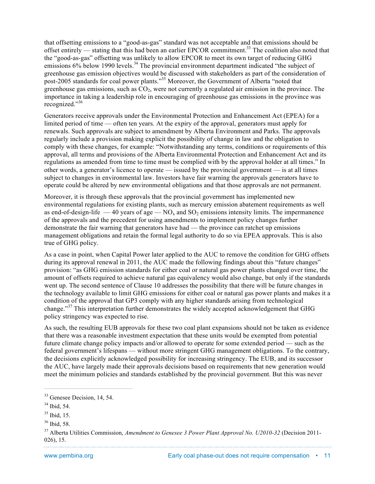that offsetting emissions to a "good-as-gas" standard was not acceptable and that emissions should be offset entirely — stating that this had been an earlier EPCOR commitment.<sup>33</sup> The coalition also noted that the "good-as-gas" offsetting was unlikely to allow EPCOR to meet its own target of reducing GHG emissions 6% below 1990 levels.<sup>34</sup> The provincial environment department indicated "the subject of greenhouse gas emission objectives would be discussed with stakeholders as part of the consideration of post-2005 standards for coal power plants."35 Moreover, the Government of Alberta "noted that greenhouse gas emissions, such as  $CO<sub>2</sub>$ , were not currently a regulated air emission in the province. The importance in taking a leadership role in encouraging of greenhouse gas emissions in the province was recognized."<sup>36</sup>

Generators receive approvals under the Environmental Protection and Enhancement Act (EPEA) for a limited period of time — often ten years. At the expiry of the approval, generators must apply for renewals. Such approvals are subject to amendment by Alberta Environment and Parks. The approvals regularly include a provision making explicit the possibility of change in law and the obligation to comply with these changes, for example: "Notwithstanding any terms, conditions or requirements of this approval, all terms and provisions of the Alberta Environmental Protection and Enhancement Act and its regulations as amended from time to time must be complied with by the approval holder at all times." In other words, a generator's licence to operate — issued by the provincial government — is at all times subject to changes in environmental law. Investors have fair warning the approvals generators have to operate could be altered by new environmental obligations and that those approvals are not permanent.

Moreover, it is through these approvals that the provincial government has implemented new environmental regulations for existing plants, such as mercury emission abatement requirements as well as end-of-design-life  $-40$  years of age  $-NO<sub>x</sub>$  and  $SO<sub>2</sub>$  emissions intensity limits. The impermanence of the approvals and the precedent for using amendments to implement policy changes further demonstrate the fair warning that generators have had — the province can ratchet up emissions management obligations and retain the formal legal authority to do so via EPEA approvals. This is also true of GHG policy.

As a case in point, when Capital Power later applied to the AUC to remove the condition for GHG offsets during its approval renewal in 2011, the AUC made the following findings about this "future changes" provision: "as GHG emission standards for either coal or natural gas power plants changed over time, the amount of offsets required to achieve natural gas equivalency would also change, but only if the standards went up. The second sentence of Clause 10 addresses the possibility that there will be future changes in the technology available to limit GHG emissions for either coal or natural gas power plants and makes it a condition of the approval that GP3 comply with any higher standards arising from technological change."<sup>37</sup> This interpretation further demonstrates the widely accepted acknowledgement that GHG policy stringency was expected to rise.

As such, the resulting EUB approvals for these two coal plant expansions should not be taken as evidence that there was a reasonable investment expectation that these units would be exempted from potential future climate change policy impacts and/or allowed to operate for some extended period — such as the federal government's lifespans — without more stringent GHG management obligations. To the contrary, the decisions explicitly acknowledged possibility for increasing stringency. The EUB, and its successor the AUC, have largely made their approvals decisions based on requirements that new generation would meet the minimum policies and standards established by the provincial government. But this was never

<sup>&</sup>lt;sup>33</sup> Genesee Decision, 14, 54.

<sup>34</sup> Ibid, 54.

 $35$  Ibid, 15.

<sup>36</sup> Ibid, 58.

<sup>37</sup> Alberta Utilities Commission, *Amendment to Genesee 3 Power Plant Approval No. U2010-32* (Decision 2011- 026), 15.